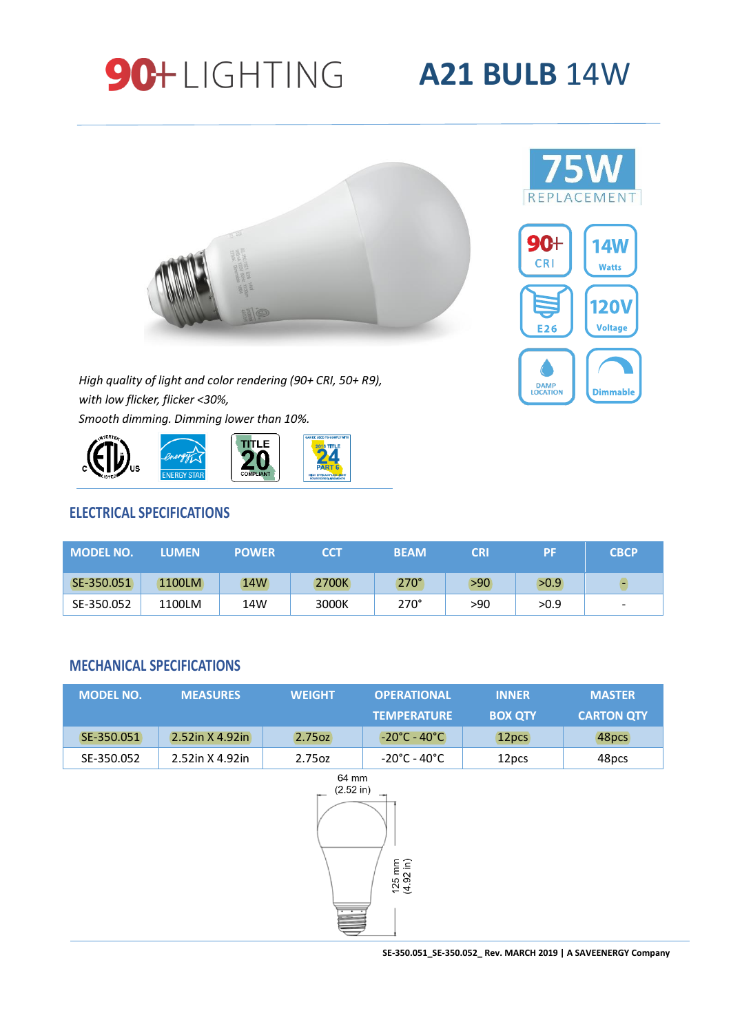





*High quality of light and color rendering (90+ CRI, 50+ R9), with low flicker, flicker <30%, Smooth dimming. Dimming lower than 10%.*



# **ELECTRICAL SPECIFICATIONS**

| <b>MODEL NO.</b> | <b>LUMEN</b> | <b>POWER</b> | <b>CCT</b> | <b>BEAM</b> | <b>CRI</b> | PF   | <b>CBCP</b>              |
|------------------|--------------|--------------|------------|-------------|------------|------|--------------------------|
| SE-350.051       | 1100LM       | 14W          | 2700K      | $270^\circ$ | >90        | >0.9 |                          |
| SE-350.052       | 1100LM       | 14W          | 3000K      | $270^\circ$ | >90        | >0.9 | $\overline{\phantom{a}}$ |

### **MECHANICAL SPECIFICATIONS**

| <b>MODEL NO.</b> | <b>MEASURES</b>    | <b>WEIGHT</b>      | <b>OPERATIONAL</b>                           | <b>INNER</b>      | <b>MASTER</b>     |
|------------------|--------------------|--------------------|----------------------------------------------|-------------------|-------------------|
|                  |                    |                    | <b>TEMPERATURE</b>                           | <b>BOX QTY</b>    | <b>CARTON QTY</b> |
| SE-350.051       | $2.52$ in X 4.92in | (2.75oz)           | $-20^{\circ}$ C - 40 $^{\circ}$ C $^{\circ}$ | 12 <sub>pcs</sub> | 48pcs             |
| SE-350.052       | 2.52in X 4.92in    | 2.75 <sub>oz</sub> | -20°C - 40°C                                 | 12 <sub>pcs</sub> | 48pcs             |



**SE-350.051\_SE-350.052\_ Rev. MARCH 2019 | A SAVEENERGY Company**